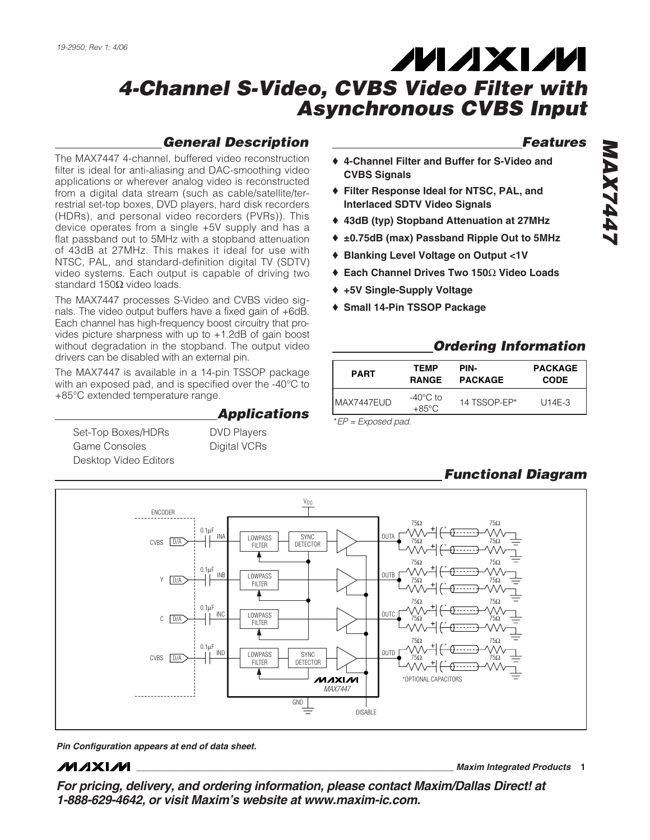# **MAXM**

# *4-Channel S-Video, CVBS Video Filter with Asynchronous CVBS Input*

# *General Description*

The MAX7447 4-channel, buffered video reconstruction filter is ideal for anti-aliasing and DAC-smoothing video applications or wherever analog video is reconstructed from a digital data stream (such as cable/satellite/terrestrial set-top boxes, DVD players, hard disk recorders (HDRs), and personal video recorders (PVRs)). This device operates from a single +5V supply and has a flat passband out to 5MHz with a stopband attenuation of 43dB at 27MHz. This makes it ideal for use with NTSC, PAL, and standard-definition digital TV (SDTV) video systems. Each output is capable of driving two standard 150Ω video loads.

The MAX7447 processes S-Video and CVBS video signals. The video output buffers have a fixed gain of +6dB. Each channel has high-frequency boost circuitry that provides picture sharpness with up to +1.2dB of gain boost without degradation in the stopband. The output video drivers can be disabled with an external pin.

The MAX7447 is available in a 14-pin TSSOP package with an exposed pad, and is specified over the -40°C to +85°C extended temperature range.

Set-Top Boxes/HDRs DVD Players Game Consoles **Digital VCRs** Desktop Video Editors

*Applications*

- ♦ **4-Channel Filter and Buffer for S-Video and CVBS Signals**
- ♦ **Filter Response Ideal for NTSC, PAL, and Interlaced SDTV Video Signals**
- ♦ **43dB (typ) Stopband Attenuation at 27MHz**
- ♦ **±0.75dB (max) Passband Ripple Out to 5MHz**
- ♦ **Blanking Level Voltage on Output <1V**
- ♦ **Each Channel Drives Two 150**Ω **Video Loads**
- ♦ **+5V Single-Supply Voltage**
- ♦ **Small 14-Pin TSSOP Package**

# *Ordering Information*

| <b>PART</b> | TEMP                                  | PIN-           | <b>PACKAGE</b> |
|-------------|---------------------------------------|----------------|----------------|
|             | <b>RANGE</b>                          | <b>PACKAGE</b> | <b>CODE</b>    |
| IMAX7447EUD | $-40^{\circ}$ C to<br>$+85^{\circ}$ C | 14 TSSOP-FP*   | U14E-3         |

\**EP = Exposed pad.*

# *Functional Diagram*



*Pin Configuration appears at end of data sheet.*

## **MAXM**

**\_\_\_\_\_\_\_\_\_\_\_\_\_\_\_\_\_\_\_\_\_\_\_\_\_\_\_\_\_\_\_\_\_\_\_\_\_\_\_\_\_\_\_\_\_\_\_\_\_\_\_\_\_\_\_\_\_\_\_\_\_\_\_\_** *Maxim Integrated Products* **1**

*For pricing, delivery, and ordering information, please contact Maxim/Dallas Direct! at 1-888-629-4642, or visit Maxim's website at www.maxim-ic.com.*

*Features*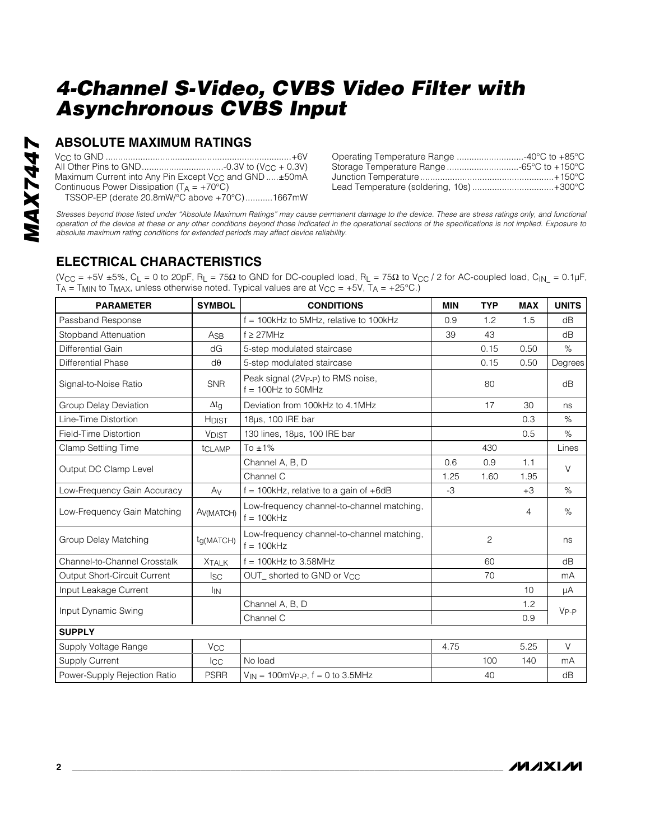### **ABSOLUTE MAXIMUM RATINGS**

| Maximum Current into Any Pin Except V <sub>CC</sub> and GND ±50mA |  |
|-------------------------------------------------------------------|--|
| Continuous Power Dissipation $(T_A = +70^{\circ}C)$               |  |
| TSSOP-EP (derate 20.8mW/°C above +70°C)1667mW                     |  |

| Operating Temperature Range 40°C to +85°C |  |
|-------------------------------------------|--|
| Storage Temperature Range -65°C to +150°C |  |
|                                           |  |
| Lead Temperature (soldering, 10s)+300°C   |  |

*Stresses beyond those listed under "Absolute Maximum Ratings" may cause permanent damage to the device. These are stress ratings only, and functional operation of the device at these or any other conditions beyond those indicated in the operational sections of the specifications is not implied. Exposure to absolute maximum rating conditions for extended periods may affect device reliability.*

# **ELECTRICAL CHARACTERISTICS**

(V<sub>CC</sub> = +5V ±5%, C<sub>L</sub> = 0 to 20pF, R<sub>L</sub> = 75Ω to GND for DC-coupled load, R<sub>L</sub> = 75Ω to V<sub>CC</sub> / 2 for AC-coupled load, C<sub>IN\_</sub> = 0.1µF, T $_A$  = T<sub>MIN</sub> to T<sub>MAX</sub>, unless otherwise noted. Typical values are at V<sub>CC</sub> = +5V, T $_A$  = +25°C.)

| <b>PARAMETER</b>             | <b>SYMBOL</b>          | <b>CONDITIONS</b>                                          | <b>MIN</b> | <b>TYP</b>     | <b>MAX</b>     | <b>UNITS</b> |  |
|------------------------------|------------------------|------------------------------------------------------------|------------|----------------|----------------|--------------|--|
| Passband Response            |                        | $f = 100$ kHz to 5MHz, relative to 100kHz                  | 0.9        | 1.2            | 1.5            | dB           |  |
| Stopband Attenuation         | A <sub>SB</sub>        | $f \geq 27$ MHz                                            | 39         | 43             |                | dB           |  |
| Differential Gain            | dG                     | 5-step modulated staircase                                 |            | 0.15           | 0.50           | $\%$         |  |
| <b>Differential Phase</b>    | $d\theta$              | 5-step modulated staircase                                 |            | 0.15           | 0.50           | Degrees      |  |
| Signal-to-Noise Ratio        | <b>SNR</b>             | Peak signal (2Vp-p) to RMS noise,<br>$f = 100$ Hz to 50MHz |            | 80             |                | dB           |  |
| Group Delay Deviation        | $\Delta t_g$           | Deviation from 100kHz to 4.1MHz                            |            | 17             | 30             | ns           |  |
| Line-Time Distortion         | <b>HDIST</b>           | 18µs, 100 IRE bar                                          |            |                | 0.3            | $\%$         |  |
| Field-Time Distortion        | <b>VDIST</b>           | 130 lines, 18us, 100 IRE bar                               |            |                | 0.5            | $\%$         |  |
| <b>Clamp Settling Time</b>   | tCLAMP                 | To $±1\%$                                                  |            | 430            |                | Lines        |  |
|                              |                        | Channel A, B, D                                            | 0.6        | 0.9            | 1.1            | $\vee$       |  |
| Output DC Clamp Level        |                        | Channel C                                                  | 1.25       | 1.60           | 1.95           |              |  |
| Low-Frequency Gain Accuracy  | Av                     | $f = 100$ kHz, relative to a gain of $+6$ dB               | $-3$       |                | $+3$           | %            |  |
| Low-Frequency Gain Matching  | A <sub>V</sub> (MATCH) | Low-frequency channel-to-channel matching,<br>$f = 100kHz$ |            |                | $\overline{4}$ | $\%$         |  |
| Group Delay Matching         | t <sub>G</sub> (MATCH) | Low-frequency channel-to-channel matching,<br>$f = 100kHz$ |            | $\overline{c}$ |                | ns           |  |
| Channel-to-Channel Crosstalk | <b>XTALK</b>           | $f = 100$ kHz to 3.58MHz                                   |            | 60             |                | dB           |  |
| Output Short-Circuit Current | <b>ISC</b>             | OUT_shorted to GND or V <sub>CC</sub>                      |            | 70             |                | mA           |  |
| Input Leakage Current        | <sup>I</sup> IN        |                                                            |            |                | 10             | μA           |  |
|                              |                        | Channel A, B, D                                            |            |                | 1.2            | $V_{P-P}$    |  |
| Input Dynamic Swing          |                        | Channel C                                                  |            |                | 0.9            |              |  |
| <b>SUPPLY</b>                |                        |                                                            |            |                |                |              |  |
| Supply Voltage Range         | <b>V<sub>CC</sub></b>  |                                                            | 4.75       |                | 5.25           | $\vee$       |  |
| <b>Supply Current</b>        | <b>I</b> cc            | No load                                                    |            | 100            | 140            | mA           |  |
| Power-Supply Rejection Ratio | <b>PSRR</b>            | $V_{IN}$ = 100mVp-p, f = 0 to 3.5MHz                       |            | 40             |                | dB           |  |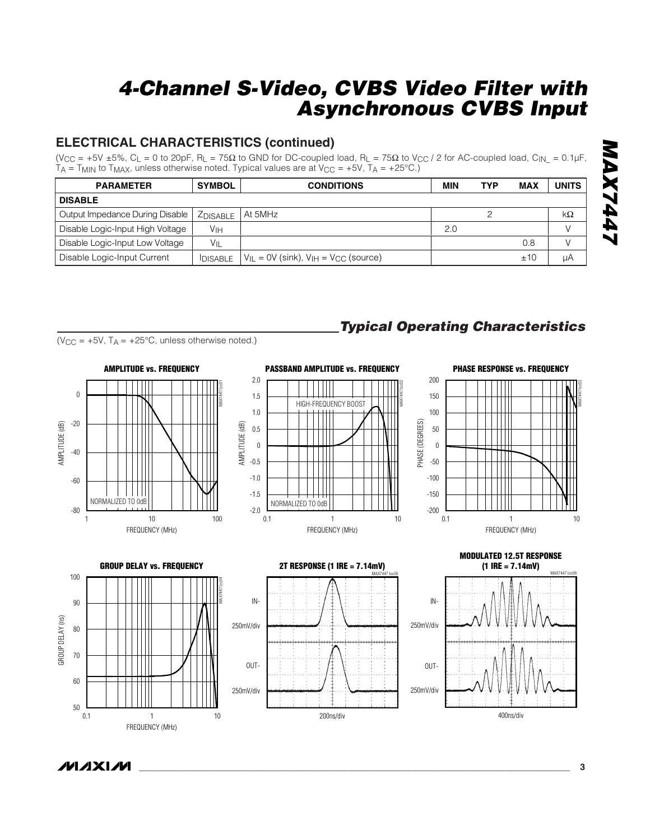# **ELECTRICAL CHARACTERISTICS (continued)**

(V<sub>CC</sub> = +5V ±5%, C<sub>L</sub> = 0 to 20pF, R<sub>L</sub> = 75Ω to GND for DC-coupled load, R<sub>L</sub> = 75Ω to V<sub>CC</sub> / 2 for AC-coupled load, C<sub>IN\_</sub> = 0.1µF  $TA = T_{MIN}$  to  $T_{MAX}$ , unless otherwise noted. Typical values are at  $V_{CC} = +5V$ ,  $T_A = +25°C$ .)

| <b>PARAMETER</b>                 | <b>SYMBOL</b>   | <b>CONDITIONS</b>                                         | MIN | <b>TYP</b> | <b>MAX</b> | <b>UNITS</b>  |  |
|----------------------------------|-----------------|-----------------------------------------------------------|-----|------------|------------|---------------|--|
| <b>DISABLE</b>                   |                 |                                                           |     |            |            |               |  |
| Output Impedance During Disable  | <b>ZDISABLE</b> | At 5MHz                                                   |     |            |            | $k\Omega$     |  |
| Disable Logic-Input High Voltage | Vıн             |                                                           | 2.0 |            |            | $\vee$        |  |
| Disable Logic-Input Low Voltage  | $V_{\parallel}$ |                                                           |     |            | 0.8        | $\mathcal{U}$ |  |
| Disable Logic-Input Current      | <b>DISABLE</b>  | $V_{II}$ = 0V (sink), $V_{IH}$ = V <sub>CC</sub> (source) |     |            | ±10        | μA            |  |

 $(V_{CC} = +5V, T_A = +25°C,$  unless otherwise noted.)

MAX7447 toc01

**AMPLITUDE vs. FREQUENCY**



# *Typical Operating Characteristics*





FREQUENCY (MHz)

10

NORMALIZED TO 0dB

1 10 100









ノハノメレル

AMPLITUDE (dB)

AMPLITUDE (dB)

-80

-60

-40

-20

 $\boldsymbol{0}$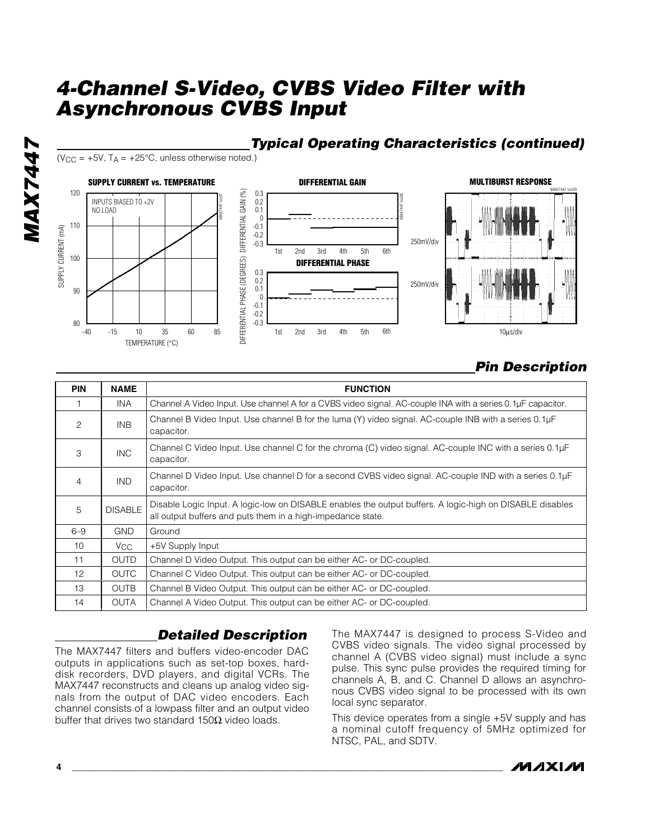



( $V_{CC}$  = +5V,  $T_A$  = +25°C, unless otherwise noted.)



# *Pin Description*

| <b>PIN</b>      | <b>NAME</b>     | <b>FUNCTION</b>                                                                                                                                                         |
|-----------------|-----------------|-------------------------------------------------------------------------------------------------------------------------------------------------------------------------|
|                 | INA.            | Channel A Video Input. Use channel A for a CVBS video signal. AC-couple INA with a series 0.1µF capacitor.                                                              |
| 2               | INB             | Channel B Video Input. Use channel B for the luma (Y) video signal. AC-couple INB with a series 0.1µF<br>capacitor.                                                     |
| 3               | <b>INC</b>      | Channel C Video Input. Use channel C for the chroma (C) video signal. AC-couple INC with a series 0.1µF<br>capacitor.                                                   |
| $\overline{4}$  | <b>IND</b>      | Channel D Video Input. Use channel D for a second CVBS video signal. AC-couple IND with a series 0.1µF<br>capacitor.                                                    |
| 5               | <b>DISABLE</b>  | Disable Logic Input. A logic-low on DISABLE enables the output buffers. A logic-high on DISABLE disables<br>all output buffers and puts them in a high-impedance state. |
| $6 - 9$         | <b>GND</b>      | Ground                                                                                                                                                                  |
| 10 <sup>°</sup> | V <sub>CC</sub> | +5V Supply Input                                                                                                                                                        |
| 11              | <b>OUTD</b>     | Channel D Video Output. This output can be either AC- or DC-coupled.                                                                                                    |
| 12 <sup>°</sup> | <b>OUTC</b>     | Channel C Video Output. This output can be either AC- or DC-coupled.                                                                                                    |
| 13              | <b>OUTB</b>     | Channel B Video Output. This output can be either AC- or DC-coupled.                                                                                                    |
| 14              | OUTA            | Channel A Video Output. This output can be either AC- or DC-coupled.                                                                                                    |

# *Detailed Description*

The MAX7447 filters and buffers video-encoder DAC outputs in applications such as set-top boxes, harddisk recorders, DVD players, and digital VCRs. The MAX7447 reconstructs and cleans up analog video signals from the output of DAC video encoders. Each channel consists of a lowpass filter and an output video buffer that drives two standard 150Ω video loads.

The MAX7447 is designed to process S-Video and CVBS video signals. The video signal processed by channel A (CVBS video signal) must include a sync pulse. This sync pulse provides the required timing for channels A, B, and C. Channel D allows an asynchronous CVBS video signal to be processed with its own local sync separator.

This device operates from a single +5V supply and has a nominal cutoff frequency of 5MHz optimized for NTSC, PAL, and SDTV.

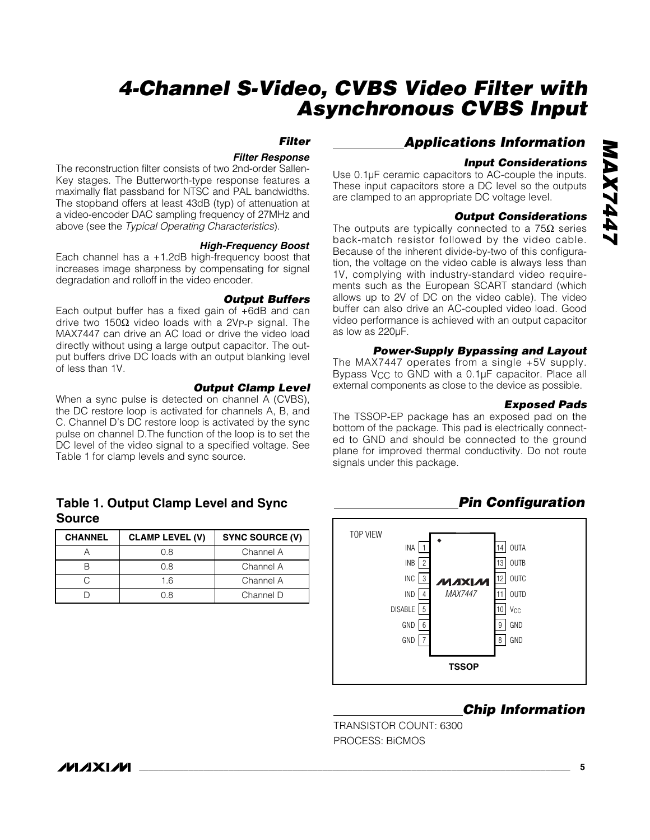### *Filter*

#### *Filter Response*

The reconstruction filter consists of two 2nd-order Sallen-Key stages. The Butterworth-type response features a maximally flat passband for NTSC and PAL bandwidths. The stopband offers at least 43dB (typ) of attenuation at a video-encoder DAC sampling frequency of 27MHz and above (see the *Typical Operating Characteristics*).

#### *High-Frequency Boost*

Each channel has a +1.2dB high-frequency boost that increases image sharpness by compensating for signal degradation and rolloff in the video encoder.

#### *Output Buffers*

Each output buffer has a fixed gain of +6dB and can drive two 150Ω video loads with a 2VP-P signal. The MAX7447 can drive an AC load or drive the video load directly without using a large output capacitor. The output buffers drive DC loads with an output blanking level of less than 1V.

#### *Output Clamp Level*

When a sync pulse is detected on channel A (CVBS), the DC restore loop is activated for channels A, B, and C. Channel D's DC restore loop is activated by the sync pulse on channel D.The function of the loop is to set the DC level of the video signal to a specified voltage. See Table 1 for clamp levels and sync source.

### **Table 1. Output Clamp Level and Sync Source**

| <b>CHANNEL</b> | <b>CLAMP LEVEL (V)</b> | SYNC SOURCE (V) |
|----------------|------------------------|-----------------|
|                | 0 8                    | Channel A       |
|                | 0 8                    | Channel A       |
|                | 1.6                    | Channel A       |
|                | 0 8                    | Channel D       |

### *Applications Information*

#### *Input Considerations*

Use 0.1µF ceramic capacitors to AC-couple the inputs. These input capacitors store a DC level so the outputs are clamped to an appropriate DC voltage level.

#### *Output Considerations*

The outputs are typically connected to a  $75\Omega$  series back-match resistor followed by the video cable. Because of the inherent divide-by-two of this configuration, the voltage on the video cable is always less than 1V, complying with industry-standard video requirements such as the European SCART standard (which allows up to 2V of DC on the video cable). The video buffer can also drive an AC-coupled video load. Good video performance is achieved with an output capacitor as low as 220µF.

#### *Power-Supply Bypassing and Layout*

The MAX7447 operates from a single +5V supply. Bypass  $V_{CC}$  to GND with a 0.1 $\mu$ F capacitor. Place all external components as close to the device as possible.

#### *Exposed Pads*

The TSSOP-EP package has an exposed pad on the bottom of the package. This pad is electrically connected to GND and should be connected to the ground plane for improved thermal conductivity. Do not route signals under this package.

### *Pin Configuration*



#### *Chip Information*

TRANSISTOR COUNT: 6300 PROCESS: BiCMOS